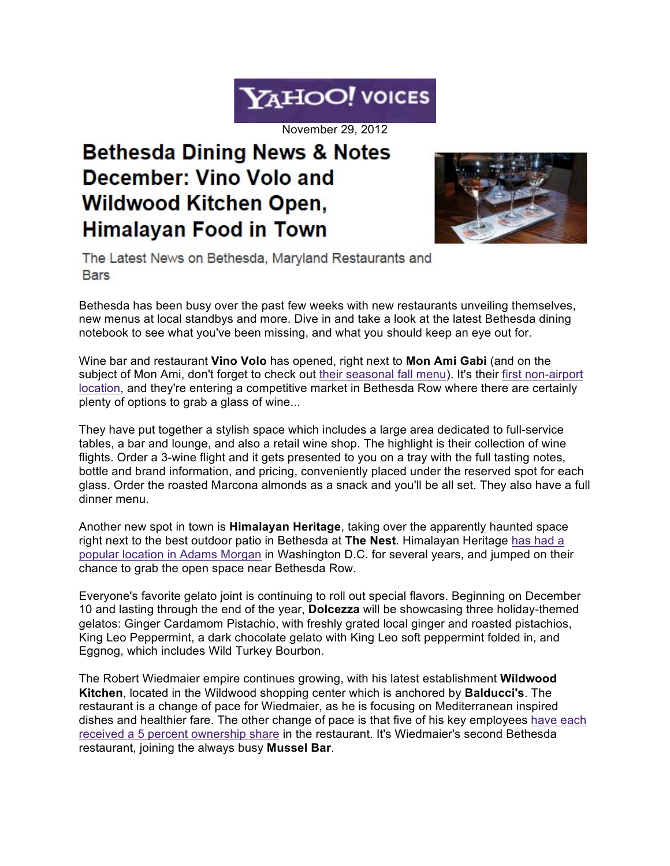## YAHOO! VOICES

November 29, 2012

## **Bethesda Dining News & Notes** December: Vino Volo and **Wildwood Kitchen Open,** Himalayan Food in Town



The Latest News on Bethesda, Maryland Restaurants and **Bars** 

Bethesda has been busy over the past few weeks with new restaurants unveiling themselves, new menus at local standbys and more. Dive in and take a look at the latest Bethesda dining notebook to see what you've been missing, and what you should keep an eye out for.

Wine bar and restaurant **Vino Volo** has opened, right next to **Mon Ami Gabi** (and on the subject of Mon Ami, don't forget to check out their seasonal fall menu). It's their first non-airport location, and they're entering a competitive market in Bethesda Row where there are certainly plenty of options to grab a glass of wine...

They have put together a stylish space which includes a large area dedicated to full-service tables, a bar and lounge, and also a retail wine shop. The highlight is their collection of wine flights. Order a 3-wine flight and it gets presented to you on a tray with the full tasting notes, bottle and brand information, and pricing, conveniently placed under the reserved spot for each glass. Order the roasted Marcona almonds as a snack and you'll be all set. They also have a full dinner menu.

Another new spot in town is **Himalayan Heritage**, taking over the apparently haunted space right next to the best outdoor patio in Bethesda at **The Nest**. Himalayan Heritage has had a popular location in Adams Morgan in Washington D.C. for several years, and jumped on their chance to grab the open space near Bethesda Row.

Everyone's favorite gelato joint is continuing to roll out special flavors. Beginning on December 10 and lasting through the end of the year, **Dolcezza** will be showcasing three holiday-themed gelatos: Ginger Cardamom Pistachio, with freshly grated local ginger and roasted pistachios, King Leo Peppermint, a dark chocolate gelato with King Leo soft peppermint folded in, and Eggnog, which includes Wild Turkey Bourbon.

The Robert Wiedmaier empire continues growing, with his latest establishment **Wildwood Kitchen**, located in the Wildwood shopping center which is anchored by **Balducci's**. The restaurant is a change of pace for Wiedmaier, as he is focusing on Mediterranean inspired dishes and healthier fare. The other change of pace is that five of his key employees have each received a 5 percent ownership share in the restaurant. It's Wiedmaier's second Bethesda restaurant, joining the always busy **Mussel Bar**.